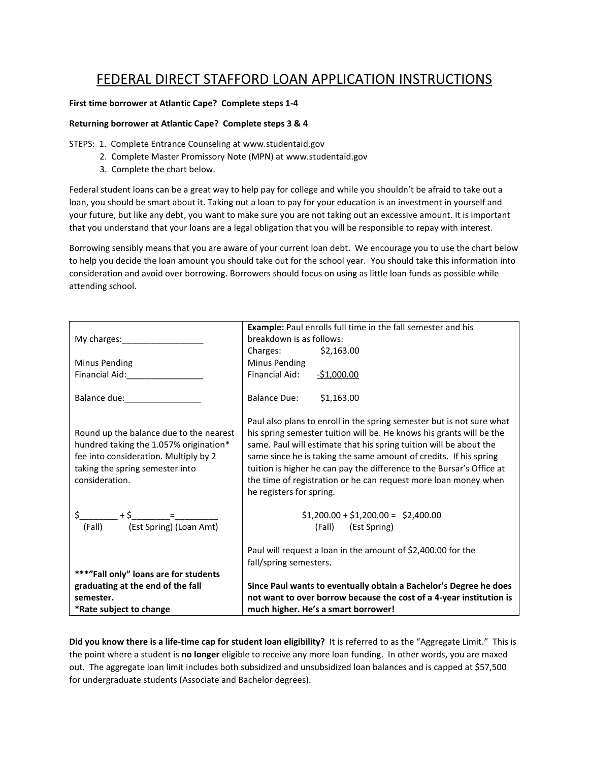# FEDERAL DIRECT STAFFORD LOAN APPLICATION INSTRUCTIONS

### **First time borrower at Atlantic Cape? Complete steps 1-4**

#### **Returning borrower at Atlantic Cape? Complete steps 3 & 4**

STEPS: 1. Complete Entrance Counseling at www.studentaid.gov

- 2. Complete Master Promissory Note (MPN) at www.studentaid.gov
- 3. Complete the chart below.

Federal student loans can be a great way to help pay for college and while you shouldn't be afraid to take out a loan, you should be smart about it. Taking out a loan to pay for your education is an investment in yourself and your future, but like any debt, you want to make sure you are not taking out an excessive amount. It is important that you understand that your loans are a legal obligation that you will be responsible to repay with interest.

Borrowing sensibly means that you are aware of your current loan debt. We encourage you to use the chart below to help you decide the loan amount you should take out for the school year. You should take this information into consideration and avoid over borrowing. Borrowers should focus on using as little loan funds as possible while attending school.

|                                                                                                                                                                                                                                | Example: Paul enrolls full time in the fall semester and his                                                                                                                                                                                                                                                                                                                                                                                                     |
|--------------------------------------------------------------------------------------------------------------------------------------------------------------------------------------------------------------------------------|------------------------------------------------------------------------------------------------------------------------------------------------------------------------------------------------------------------------------------------------------------------------------------------------------------------------------------------------------------------------------------------------------------------------------------------------------------------|
|                                                                                                                                                                                                                                | breakdown is as follows:                                                                                                                                                                                                                                                                                                                                                                                                                                         |
|                                                                                                                                                                                                                                | Charges: \$2,163.00                                                                                                                                                                                                                                                                                                                                                                                                                                              |
| Minus Pending                                                                                                                                                                                                                  | Minus Pending                                                                                                                                                                                                                                                                                                                                                                                                                                                    |
| Financial Aid: The Contract of the Contract of the Contract of The Contract of The Contract of The Contract of The Contract of The Contract of The Contract of The Contract of The Contract of The Contract of The Contract of | Financial Aid:<br>$-$1,000.00$                                                                                                                                                                                                                                                                                                                                                                                                                                   |
| Balance due: and the state of the state of the state of the state of the state of the state of the state of the                                                                                                                | Balance Due: \$1,163.00                                                                                                                                                                                                                                                                                                                                                                                                                                          |
| Round up the balance due to the nearest<br>hundred taking the 1.057% origination*<br>fee into consideration. Multiply by 2<br>taking the spring semester into<br>consideration.                                                | Paul also plans to enroll in the spring semester but is not sure what<br>his spring semester tuition will be. He knows his grants will be the<br>same. Paul will estimate that his spring tuition will be about the<br>same since he is taking the same amount of credits. If his spring<br>tuition is higher he can pay the difference to the Bursar's Office at<br>the time of registration or he can request more loan money when<br>he registers for spring. |
|                                                                                                                                                                                                                                | $$1,200.00 + $1,200.00 = $2,400.00$                                                                                                                                                                                                                                                                                                                                                                                                                              |
| (Fall) (Est Spring) (Loan Amt)                                                                                                                                                                                                 | (Fall) (Est Spring)                                                                                                                                                                                                                                                                                                                                                                                                                                              |
| ***"Fall only" loans are for students                                                                                                                                                                                          | Paul will request a loan in the amount of \$2,400.00 for the<br>fall/spring semesters.                                                                                                                                                                                                                                                                                                                                                                           |
| graduating at the end of the fall                                                                                                                                                                                              | Since Paul wants to eventually obtain a Bachelor's Degree he does                                                                                                                                                                                                                                                                                                                                                                                                |
| semester.                                                                                                                                                                                                                      | not want to over borrow because the cost of a 4-year institution is                                                                                                                                                                                                                                                                                                                                                                                              |
| *Rate subject to change                                                                                                                                                                                                        | much higher. He's a smart borrower!                                                                                                                                                                                                                                                                                                                                                                                                                              |

**Did you know there is a life-time cap for student loan eligibility?** It is referred to as the "Aggregate Limit." This is the point where a student is **no longer** eligible to receive any more loan funding. In other words, you are maxed out. The aggregate loan limit includes both subsidized and unsubsidized loan balances and is capped at \$57,500 for undergraduate students (Associate and Bachelor degrees).